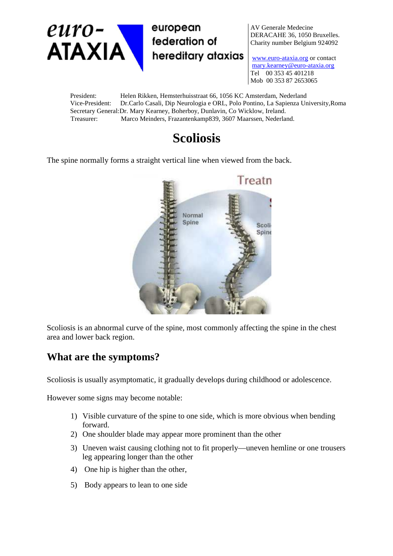

AV Generale Medecine DERACAHE 36, 1050 Bruxelles. Charity number Belgium 924092

www.euro-ataxia.org or contact mary.kearney@euro-ataxia.org Tel 00 353 45 401218 Mob 00 353 87 2653065

President: Helen Rikken, Hemsterhuisstraat 66, 1056 KC Amsterdam, Nederland Vice-President: Dr.Carlo Casali, Dip Neurologia e ORL, Polo Pontino, La Sapienza University,Roma Secretary General:Dr. Mary Kearney, Boherboy, Dunlavin, Co Wicklow, Ireland. Treasurer: Marco Meinders, Frazantenkamp839, 3607 Maarssen, Nederland.

# **Scoliosis**

The spine normally forms a straight vertical line when viewed from the back.



Scoliosis is an abnormal curve of the spine, most commonly affecting the spine in the chest area and lower back region.

### **What are the symptoms?**

Scoliosis is usually asymptomatic, it gradually develops during childhood or adolescence.

However some signs may become notable:

- 1) Visible curvature of the spine to one side, which is more obvious when bending forward.
- 2) One shoulder blade may appear more prominent than the other
- 3) Uneven waist causing clothing not to fit properly—uneven hemline or one trousers leg appearing longer than the other
- 4) One hip is higher than the other,
- 5) Body appears to lean to one side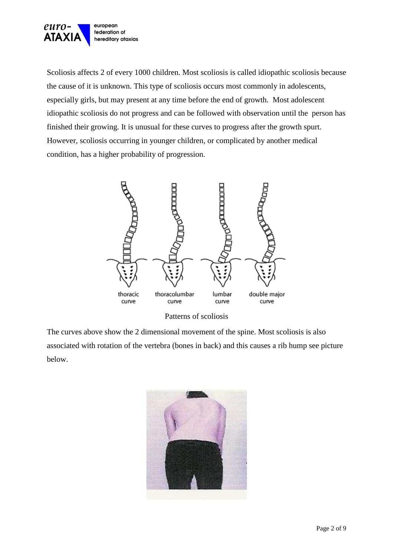

Scoliosis affects 2 of every 1000 children. Most scoliosis is called idiopathic scoliosis because the cause of it is unknown. This type of scoliosis occurs most commonly in adolescents, especially girls, but may present at any time before the end of growth. Most adolescent idiopathic scoliosis do not progress and can be followed with observation until the person has finished their growing. It is unusual for these curves to progress after the growth spurt. However, scoliosis occurring in younger children, or complicated by another medical condition, has a higher probability of progression.



Patterns of scoliosis

The curves above show the 2 dimensional movement of the spine. Most scoliosis is also associated with rotation of the vertebra (bones in back) and this causes a rib hump see picture below.

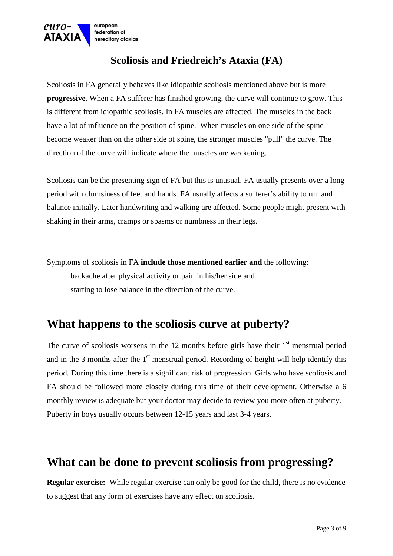

### **Scoliosis and Friedreich's Ataxia (FA)**

Scoliosis in FA generally behaves like idiopathic scoliosis mentioned above but is more **progressive**. When a FA sufferer has finished growing, the curve will continue to grow. This is different from idiopathic scoliosis. In FA muscles are affected. The muscles in the back have a lot of influence on the position of spine. When muscles on one side of the spine become weaker than on the other side of spine, the stronger muscles "pull" the curve. The direction of the curve will indicate where the muscles are weakening.

Scoliosis can be the presenting sign of FA but this is unusual. FA usually presents over a long period with clumsiness of feet and hands. FA usually affects a sufferer's ability to run and balance initially. Later handwriting and walking are affected. Some people might present with shaking in their arms, cramps or spasms or numbness in their legs.

Symptoms of scoliosis in FA **include those mentioned earlier and** the following: backache after physical activity or pain in his/her side and starting to lose balance in the direction of the curve.

## **What happens to the scoliosis curve at puberty?**

The curve of scoliosis worsens in the 12 months before girls have their  $1<sup>st</sup>$  menstrual period and in the 3 months after the  $1<sup>st</sup>$  menstrual period. Recording of height will help identify this period*.* During this time there is a significant risk of progression. Girls who have scoliosis and FA should be followed more closely during this time of their development. Otherwise a 6 monthly review is adequate but your doctor may decide to review you more often at puberty. Puberty in boys usually occurs between 12-15 years and last 3-4 years.

## **What can be done to prevent scoliosis from progressing?**

**Regular exercise:** While regular exercise can only be good for the child, there is no evidence to suggest that any form of exercises have any effect on scoliosis.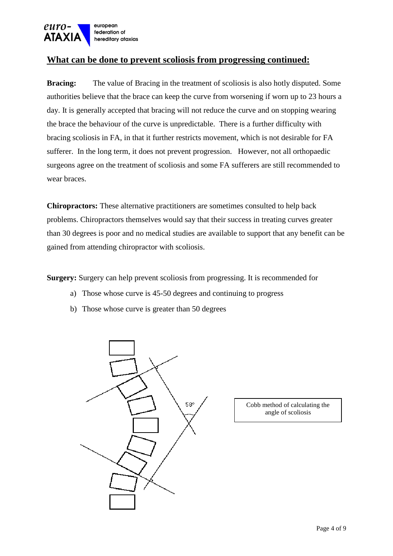

#### **What can be done to prevent scoliosis from progressing continued:**

**Bracing:** The value of Bracing in the treatment of scoliosis is also hotly disputed. Some authorities believe that the brace can keep the curve from worsening if worn up to 23 hours a day. It is generally accepted that bracing will not reduce the curve and on stopping wearing the brace the behaviour of the curve is unpredictable. There is a further difficulty with bracing scoliosis in FA, in that it further restricts movement, which is not desirable for FA sufferer. In the long term, it does not prevent progression. However, not all orthopaedic surgeons agree on the treatment of scoliosis and some FA sufferers are still recommended to wear braces.

**Chiropractors:** These alternative practitioners are sometimes consulted to help back problems. Chiropractors themselves would say that their success in treating curves greater than 30 degrees is poor and no medical studies are available to support that any benefit can be gained from attending chiropractor with scoliosis.

**Surgery:** Surgery can help prevent scoliosis from progressing. It is recommended for

- a) Those whose curve is 45-50 degrees and continuing to progress
- b) Those whose curve is greater than 50 degrees



Cobb method of calculating the angle of scoliosis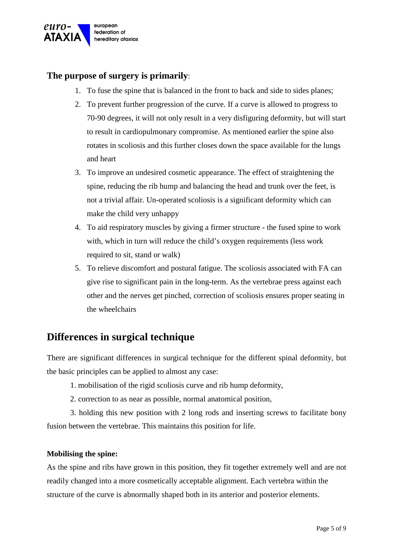

#### **The purpose of surgery is primarily**:

- 1. To fuse the spine that is balanced in the front to back and side to sides planes;
- 2. To prevent further progression of the curve. If a curve is allowed to progress to 70-90 degrees, it will not only result in a very disfiguring deformity, but will start to result in cardiopulmonary compromise. As mentioned earlier the spine also rotates in scoliosis and this further closes down the space available for the lungs and heart
- 3. To improve an undesired cosmetic appearance. The effect of straightening the spine, reducing the rib hump and balancing the head and trunk over the feet, is not a trivial affair. Un-operated scoliosis is a significant deformity which can make the child very unhappy
- 4. To aid respiratory muscles by giving a firmer structure the fused spine to work with, which in turn will reduce the child's oxygen requirements (less work required to sit, stand or walk)
- 5. To relieve discomfort and postural fatigue. The scoliosis associated with FA can give rise to significant pain in the long-term. As the vertebrae press against each other and the nerves get pinched, correction of scoliosis ensures proper seating in the wheelchairs

### **Differences in surgical technique**

There are significant differences in surgical technique for the different spinal deformity, but the basic principles can be applied to almost any case:

- 1. mobilisation of the rigid scoliosis curve and rib hump deformity,
- 2. correction to as near as possible, normal anatomical position,

3. holding this new position with 2 long rods and inserting screws to facilitate bony fusion between the vertebrae. This maintains this position for life.

#### **Mobilising the spine:**

As the spine and ribs have grown in this position, they fit together extremely well and are not readily changed into a more cosmetically acceptable alignment. Each vertebra within the structure of the curve is abnormally shaped both in its anterior and posterior elements.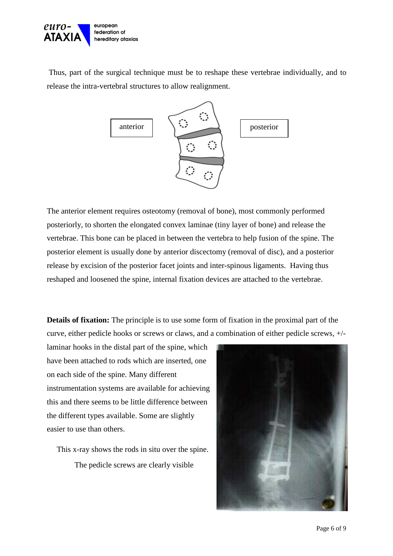

 Thus, part of the surgical technique must be to reshape these vertebrae individually, and to release the intra-vertebral structures to allow realignment.



The anterior element requires osteotomy (removal of bone), most commonly performed posteriorly, to shorten the elongated convex laminae (tiny layer of bone) and release the vertebrae. This bone can be placed in between the vertebra to help fusion of the spine. The posterior element is usually done by anterior discectomy (removal of disc), and a posterior release by excision of the posterior facet joints and inter-spinous ligaments. Having thus reshaped and loosened the spine, internal fixation devices are attached to the vertebrae.

**Details of fixation:** The principle is to use some form of fixation in the proximal part of the curve, either pedicle hooks or screws or claws, and a combination of either pedicle screws, +/-

laminar hooks in the distal part of the spine, which have been attached to rods which are inserted, one on each side of the spine. Many different instrumentation systems are available for achieving this and there seems to be little difference between the different types available. Some are slightly easier to use than others.

 This x-ray shows the rods in situ over the spine. The pedicle screws are clearly visible

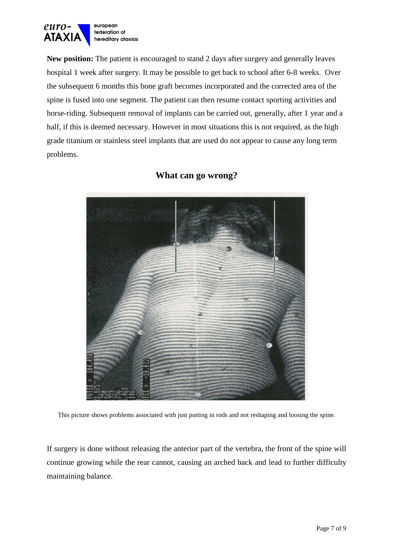

**New position:** The patient is encouraged to stand 2 days after surgery and generally leaves hospital 1 week after surgery. It may be possible to get back to school after 6-8 weeks. Over the subsequent 6 months this bone graft becomes incorporated and the corrected area of the spine is fused into one segment. The patient can then resume contact sporting activities and horse-riding. Subsequent removal of implants can be carried out, generally, after 1 year and a half, if this is deemed necessary. However in most situations this is not required, as the high grade titanium or stainless steel implants that are used do not appear to cause any long term problems.



#### **What can go wrong?**

This picture shows problems associated with just putting in rods and not reshaping and loosing the spine.

If surgery is done without releasing the anterior part of the vertebra, the front of the spine will continue growing while the rear cannot, causing an arched back and lead to further difficulty maintaining balance.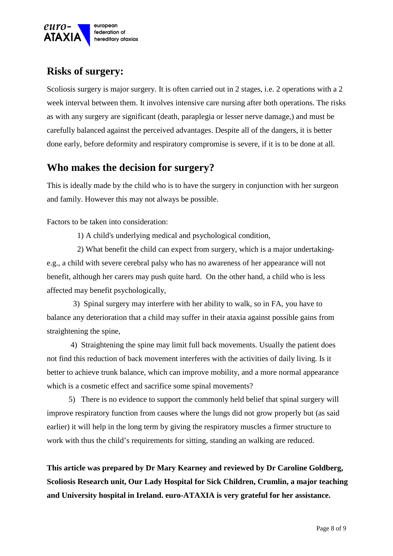

### **Risks of surgery:**

Scoliosis surgery is major surgery. It is often carried out in 2 stages, i.e. 2 operations with a 2 week interval between them. It involves intensive care nursing after both operations. The risks as with any surgery are significant (death, paraplegia or lesser nerve damage,) and must be carefully balanced against the perceived advantages. Despite all of the dangers, it is better done early, before deformity and respiratory compromise is severe, if it is to be done at all.

### **Who makes the decision for surgery?**

This is ideally made by the child who is to have the surgery in conjunction with her surgeon and family. However this may not always be possible.

Factors to be taken into consideration:

1) A child's underlying medical and psychological condition,

 2) What benefit the child can expect from surgery, which is a major undertakinge.g., a child with severe cerebral palsy who has no awareness of her appearance will not benefit, although her carers may push quite hard. On the other hand, a child who is less affected may benefit psychologically,

3) Spinal surgery may interfere with her ability to walk, so in FA, you have to balance any deterioration that a child may suffer in their ataxia against possible gains from straightening the spine,

 4) Straightening the spine may limit full back movements. Usually the patient does not find this reduction of back movement interferes with the activities of daily living. Is it better to achieve trunk balance, which can improve mobility, and a more normal appearance which is a cosmetic effect and sacrifice some spinal movements?

 5) There is no evidence to support the commonly held belief that spinal surgery will improve respiratory function from causes where the lungs did not grow properly but (as said earlier) it will help in the long term by giving the respiratory muscles a firmer structure to work with thus the child's requirements for sitting, standing an walking are reduced.

 **This article was prepared by Dr Mary Kearney and reviewed by Dr Caroline Goldberg, Scoliosis Research unit, Our Lady Hospital for Sick Children, Crumlin, a major teaching and University hospital in Ireland. euro-ATAXIA is very grateful for her assistance.**